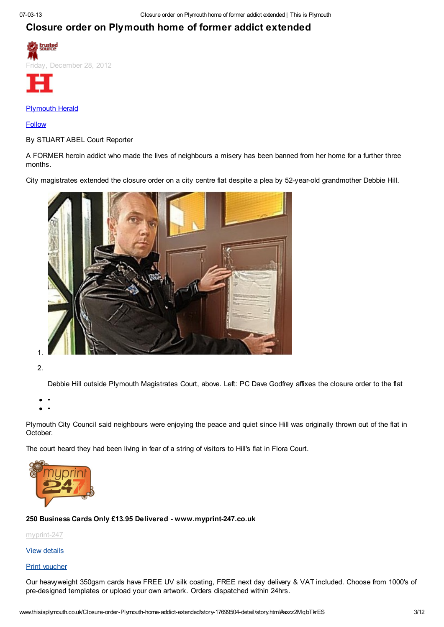## Closure order on Plymouth home of former addict extended





### [Plymouth](http://www.thisisplymouth.co.uk/people/Plymouth%20Herald/profile.html) Herald

#### [Follow](http://www.thisisplymouth.co.uk/Closure-order-Plymouth-home-addict-extended/story-17699504-detail/story.html#)

By STUART ABEL Court Reporter

A FORMER heroin addict who made the lives of neighbours a misery has been banned from her home for a further three months.

City magistrates extended the closure order on a city centre flat despite a plea by 52-year-old grandmother Debbie Hill.



2.

Debbie Hill outside Plymouth Magistrates Court, above. Left: PC Dave Godfrey affixes the closure order to the flat

•

•

Plymouth City Council said neighbours were enjoying the peace and quiet since Hill was originally thrown out of the flat in October.

The court heard they had been living in fear of a string of visitors to Hill's flat in Flora Court.



#### 250 Business Cards Only £13.95 Delivered - www.myprint-247.co.uk

[myprint-247](http://www.thisisplymouth.co.uk/printers/printers/myprint-247/business-17056516-detail/business.html)

#### View [details](http://www.thisisplymouth.co.uk/Closure-order-Plymouth-home-addict-extended/story-17699504-detail/story.html#)

#### Print [voucher](http://www.thisisplymouth.co.uk/voucher-details.html?id=18343835)

Our heavyweight 350gsm cards have FREE UV silk coating, FREE next day delivery & VAT included. Choose from 1000's of pre-designed templates or upload your own artwork. Orders dispatched within 24hrs.